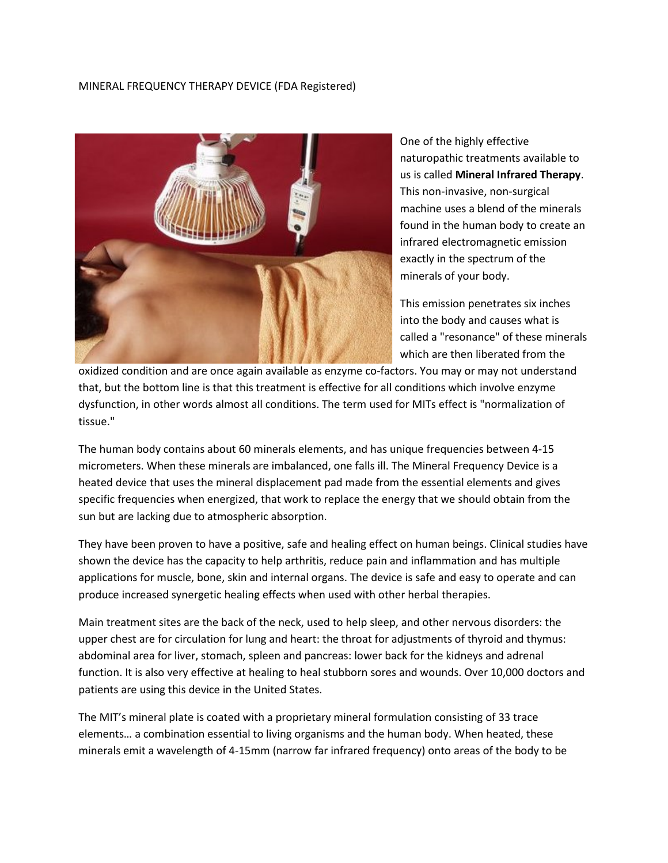## MINERAL FREQUENCY THERAPY DEVICE (FDA Registered)



One of the highly effective naturopathic treatments available to us is called **Mineral Infrared Therapy**. This non-invasive, non-surgical machine uses a blend of the minerals found in the human body to create an infrared electromagnetic emission exactly in the spectrum of the minerals of your body.

This emission penetrates six inches into the body and causes what is called a "resonance" of these minerals which are then liberated from the

oxidized condition and are once again available as enzyme co-factors. You may or may not understand that, but the bottom line is that this treatment is effective for all conditions which involve enzyme dysfunction, in other words almost all conditions. The term used for MITs effect is "normalization of tissue."

The human body contains about 60 minerals elements, and has unique frequencies between 4-15 micrometers. When these minerals are imbalanced, one falls ill. The Mineral Frequency Device is a heated device that uses the mineral displacement pad made from the essential elements and gives specific frequencies when energized, that work to replace the energy that we should obtain from the sun but are lacking due to atmospheric absorption.

They have been proven to have a positive, safe and healing effect on human beings. Clinical studies have shown the device has the capacity to help arthritis, reduce pain and inflammation and has multiple applications for muscle, bone, skin and internal organs. The device is safe and easy to operate and can produce increased synergetic healing effects when used with other herbal therapies.

Main treatment sites are the back of the neck, used to help sleep, and other nervous disorders: the upper chest are for circulation for lung and heart: the throat for adjustments of thyroid and thymus: abdominal area for liver, stomach, spleen and pancreas: lower back for the kidneys and adrenal function. It is also very effective at healing to heal stubborn sores and wounds. Over 10,000 doctors and patients are using this device in the United States.

The MIT's mineral plate is coated with a proprietary mineral formulation consisting of 33 trace elements… a combination essential to living organisms and the human body. When heated, these minerals emit a wavelength of 4-15mm (narrow far infrared frequency) onto areas of the body to be